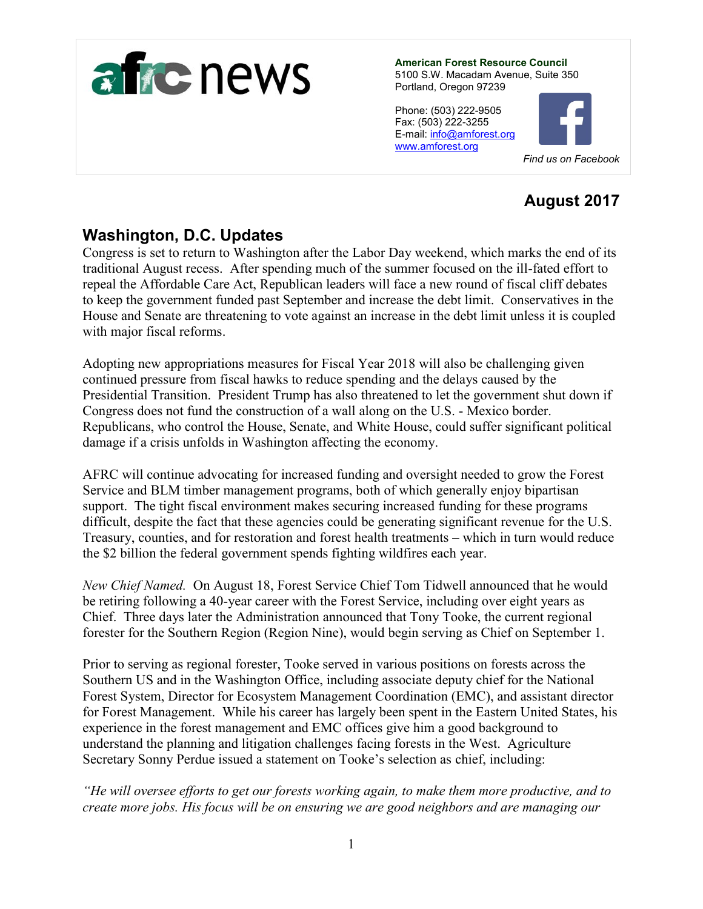

**American Forest Resource Council** 5100 S.W. Macadam Avenue, Suite 350 Portland, Oregon 97239

Phone: (503) 222-9505 Fax: (503) 222-3255 E-mail[: info@amforest.org](mailto:info@amforest.org) [www.amforest.org](http://www.amforest.org/)



# **August 2017**

# **Washington, D.C. Updates**

Congress is set to return to Washington after the Labor Day weekend, which marks the end of its traditional August recess. After spending much of the summer focused on the ill-fated effort to repeal the Affordable Care Act, Republican leaders will face a new round of fiscal cliff debates to keep the government funded past September and increase the debt limit. Conservatives in the House and Senate are threatening to vote against an increase in the debt limit unless it is coupled with major fiscal reforms.

Adopting new appropriations measures for Fiscal Year 2018 will also be challenging given continued pressure from fiscal hawks to reduce spending and the delays caused by the Presidential Transition. President Trump has also threatened to let the government shut down if Congress does not fund the construction of a wall along on the U.S. - Mexico border. Republicans, who control the House, Senate, and White House, could suffer significant political damage if a crisis unfolds in Washington affecting the economy.

AFRC will continue advocating for increased funding and oversight needed to grow the Forest Service and BLM timber management programs, both of which generally enjoy bipartisan support. The tight fiscal environment makes securing increased funding for these programs difficult, despite the fact that these agencies could be generating significant revenue for the U.S. Treasury, counties, and for restoration and forest health treatments – which in turn would reduce the \$2 billion the federal government spends fighting wildfires each year.

*New Chief Named.* On August 18, Forest Service Chief Tom Tidwell announced that he would be retiring following a 40-year career with the Forest Service, including over eight years as Chief. Three days later the Administration announced that Tony Tooke, the current regional forester for the Southern Region (Region Nine), would begin serving as Chief on September 1.

Prior to serving as regional forester, Tooke served in various positions on forests across the Southern US and in the Washington Office, including associate deputy chief for the National Forest System, Director for Ecosystem Management Coordination (EMC), and assistant director for Forest Management. While his career has largely been spent in the Eastern United States, his experience in the forest management and EMC offices give him a good background to understand the planning and litigation challenges facing forests in the West. Agriculture Secretary Sonny Perdue issued a statement on Tooke's selection as chief, including:

*"He will oversee efforts to get our forests working again, to make them more productive, and to create more jobs. His focus will be on ensuring we are good neighbors and are managing our*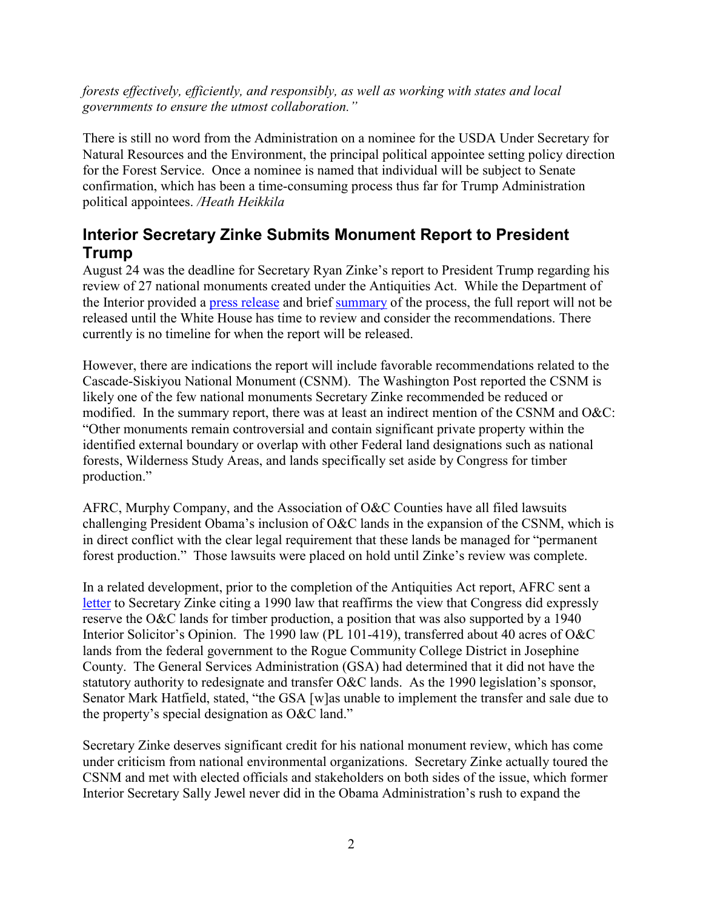*forests effectively, efficiently, and responsibly, as well as working with states and local governments to ensure the utmost collaboration."*

There is still no word from the Administration on a nominee for the USDA Under Secretary for Natural Resources and the Environment, the principal political appointee setting policy direction for the Forest Service. Once a nominee is named that individual will be subject to Senate confirmation, which has been a time-consuming process thus far for Trump Administration political appointees. */Heath Heikkila*

## **Interior Secretary Zinke Submits Monument Report to President Trump**

August 24 was the deadline for Secretary Ryan Zinke's report to President Trump regarding his review of 27 national monuments created under the Antiquities Act. While the Department of the Interior provided a [press release](https://www.doi.gov/pressreleases/secretary-zinke-sends-monument-report-white-house) and brief [summary](https://www.doi.gov/sites/doi.gov/files/uploads/monument-report-summary.pdf) of the process, the full report will not be released until the White House has time to review and consider the recommendations. There currently is no timeline for when the report will be released.

However, there are indications the report will include favorable recommendations related to the Cascade-Siskiyou National Monument (CSNM). The Washington Post reported the CSNM is likely one of the few national monuments Secretary Zinke recommended be reduced or modified. In the summary report, there was at least an indirect mention of the CSNM and O&C: "Other monuments remain controversial and contain significant private property within the identified external boundary or overlap with other Federal land designations such as national forests, Wilderness Study Areas, and lands specifically set aside by Congress for timber production."

AFRC, Murphy Company, and the Association of O&C Counties have all filed lawsuits challenging President Obama's inclusion of O&C lands in the expansion of the CSNM, which is in direct conflict with the clear legal requirement that these lands be managed for "permanent forest production." Those lawsuits were placed on hold until Zinke's review was complete.

In a related development, prior to the completion of the Antiquities Act report, AFRC sent a [letter](http://amforest.org/wp-content/uploads/2017/08/Letter-to-Zinke-CSNM-and-PL-101-419-082017.pdf) to Secretary Zinke citing a 1990 law that reaffirms the view that Congress did expressly reserve the O&C lands for timber production, a position that was also supported by a 1940 Interior Solicitor's Opinion. The 1990 law (PL 101-419), transferred about 40 acres of O&C lands from the federal government to the Rogue Community College District in Josephine County. The General Services Administration (GSA) had determined that it did not have the statutory authority to redesignate and transfer O&C lands. As the 1990 legislation's sponsor, Senator Mark Hatfield, stated, "the GSA [w]as unable to implement the transfer and sale due to the property's special designation as O&C land."

Secretary Zinke deserves significant credit for his national monument review, which has come under criticism from national environmental organizations. Secretary Zinke actually toured the CSNM and met with elected officials and stakeholders on both sides of the issue, which former Interior Secretary Sally Jewel never did in the Obama Administration's rush to expand the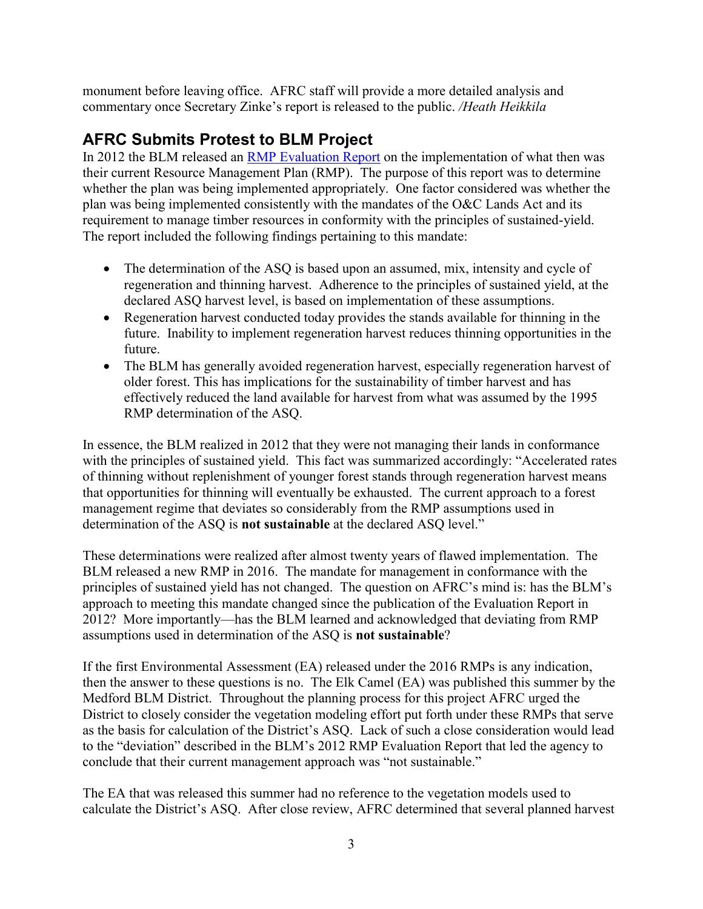monument before leaving office. AFRC staff will provide a more detailed analysis and commentary once Secretary Zinke's report is released to the public. */Heath Heikkila*

# **AFRC Submits Protest to BLM Project**

In 2012 the BLM released an **RMP** Evaluation Report on the implementation of what then was their current Resource Management Plan (RMP). The purpose of this report was to determine whether the plan was being implemented appropriately. One factor considered was whether the plan was being implemented consistently with the mandates of the O&C Lands Act and its requirement to manage timber resources in conformity with the principles of sustained-yield. The report included the following findings pertaining to this mandate:

- The determination of the ASQ is based upon an assumed, mix, intensity and cycle of regeneration and thinning harvest. Adherence to the principles of sustained yield, at the declared ASQ harvest level, is based on implementation of these assumptions.
- Regeneration harvest conducted today provides the stands available for thinning in the future. Inability to implement regeneration harvest reduces thinning opportunities in the future.
- The BLM has generally avoided regeneration harvest, especially regeneration harvest of older forest. This has implications for the sustainability of timber harvest and has effectively reduced the land available for harvest from what was assumed by the 1995 RMP determination of the ASQ.

In essence, the BLM realized in 2012 that they were not managing their lands in conformance with the principles of sustained yield. This fact was summarized accordingly: "Accelerated rates of thinning without replenishment of younger forest stands through regeneration harvest means that opportunities for thinning will eventually be exhausted. The current approach to a forest management regime that deviates so considerably from the RMP assumptions used in determination of the ASQ is **not sustainable** at the declared ASQ level."

These determinations were realized after almost twenty years of flawed implementation. The BLM released a new RMP in 2016. The mandate for management in conformance with the principles of sustained yield has not changed. The question on AFRC's mind is: has the BLM's approach to meeting this mandate changed since the publication of the Evaluation Report in 2012? More importantly—has the BLM learned and acknowledged that deviating from RMP assumptions used in determination of the ASQ is **not sustainable**?

If the first Environmental Assessment (EA) released under the 2016 RMPs is any indication, then the answer to these questions is no. The Elk Camel (EA) was published this summer by the Medford BLM District. Throughout the planning process for this project AFRC urged the District to closely consider the vegetation modeling effort put forth under these RMPs that serve as the basis for calculation of the District's ASQ. Lack of such a close consideration would lead to the "deviation" described in the BLM's 2012 RMP Evaluation Report that led the agency to conclude that their current management approach was "not sustainable."

The EA that was released this summer had no reference to the vegetation models used to calculate the District's ASQ. After close review, AFRC determined that several planned harvest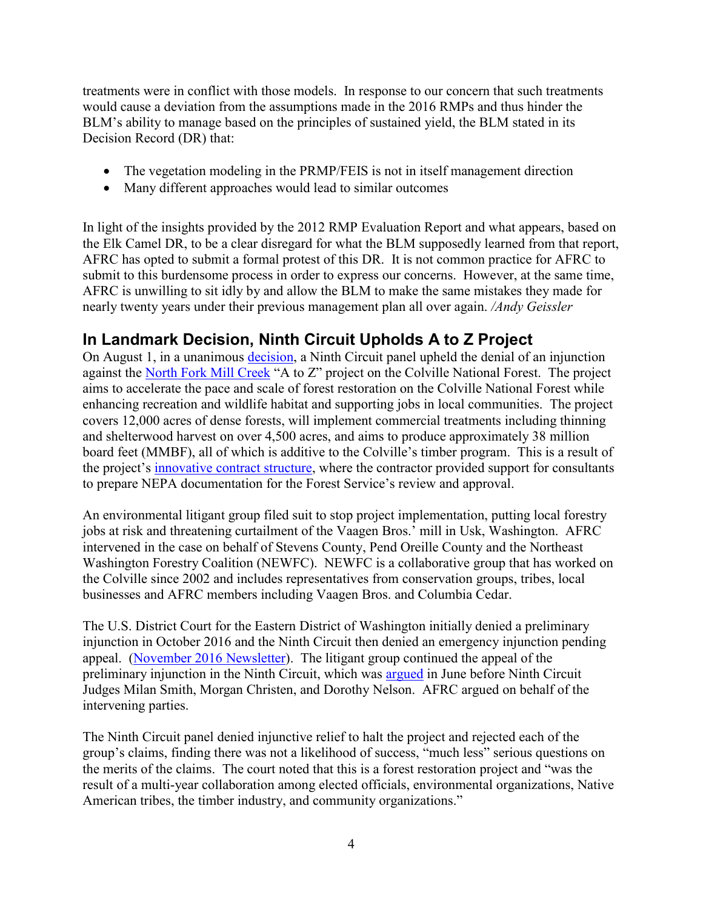treatments were in conflict with those models. In response to our concern that such treatments would cause a deviation from the assumptions made in the 2016 RMPs and thus hinder the BLM's ability to manage based on the principles of sustained yield, the BLM stated in its Decision Record (DR) that:

- The vegetation modeling in the PRMP/FEIS is not in itself management direction
- Many different approaches would lead to similar outcomes

In light of the insights provided by the 2012 RMP Evaluation Report and what appears, based on the Elk Camel DR, to be a clear disregard for what the BLM supposedly learned from that report, AFRC has opted to submit a formal protest of this DR. It is not common practice for AFRC to submit to this burdensome process in order to express our concerns. However, at the same time, AFRC is unwilling to sit idly by and allow the BLM to make the same mistakes they made for nearly twenty years under their previous management plan all over again. */Andy Geissler*

## **In Landmark Decision, Ninth Circuit Upholds A to Z Project**

On August 1, in a unanimous [decision,](http://amforest.org/wp-content/uploads/2017/08/AtoZ-9th-Cir-Opinion-1.pdf) a Ninth Circuit panel upheld the denial of an injunction against the [North Fork Mill Creek](https://www.fs.usda.gov/project/?project=43503) "A to Z" project on the Colville National Forest. The project aims to accelerate the pace and scale of forest restoration on the Colville National Forest while enhancing recreation and wildlife habitat and supporting jobs in local communities. The project covers 12,000 acres of dense forests, will implement commercial treatments including thinning and shelterwood harvest on over 4,500 acres, and aims to produce approximately 38 million board feet (MMBF), all of which is additive to the Colville's timber program. This is a result of the project's [innovative contract structure,](http://www.spokesman.com/stories/2015/nov/06/colville-forest-turns-to-timber-company-to-lower-f/) where the contractor provided support for consultants to prepare NEPA documentation for the Forest Service's review and approval.

An environmental litigant group filed suit to stop project implementation, putting local forestry jobs at risk and threatening curtailment of the Vaagen Bros.' mill in Usk, Washington. AFRC intervened in the case on behalf of Stevens County, Pend Oreille County and the Northeast Washington Forestry Coalition (NEWFC). NEWFC is a collaborative group that has worked on the Colville since 2002 and includes representatives from conservation groups, tribes, local businesses and AFRC members including Vaagen Bros. and Columbia Cedar.

The U.S. District Court for the Eastern District of Washington initially denied a preliminary injunction in October 2016 and the Ninth Circuit then denied an emergency injunction pending appeal. [\(November 2016](http://amforest.org/november-2016-newsletter/) Newsletter). The litigant group continued the appeal of the preliminary injunction in the Ninth Circuit, which was [argued](http://www.ca9.uscourts.gov/media/view_video.php?pk_vid=0000011792) in June before Ninth Circuit Judges Milan Smith, Morgan Christen, and Dorothy Nelson. AFRC argued on behalf of the intervening parties.

The Ninth Circuit panel denied injunctive relief to halt the project and rejected each of the group's claims, finding there was not a likelihood of success, "much less" serious questions on the merits of the claims. The court noted that this is a forest restoration project and "was the result of a multi-year collaboration among elected officials, environmental organizations, Native American tribes, the timber industry, and community organizations."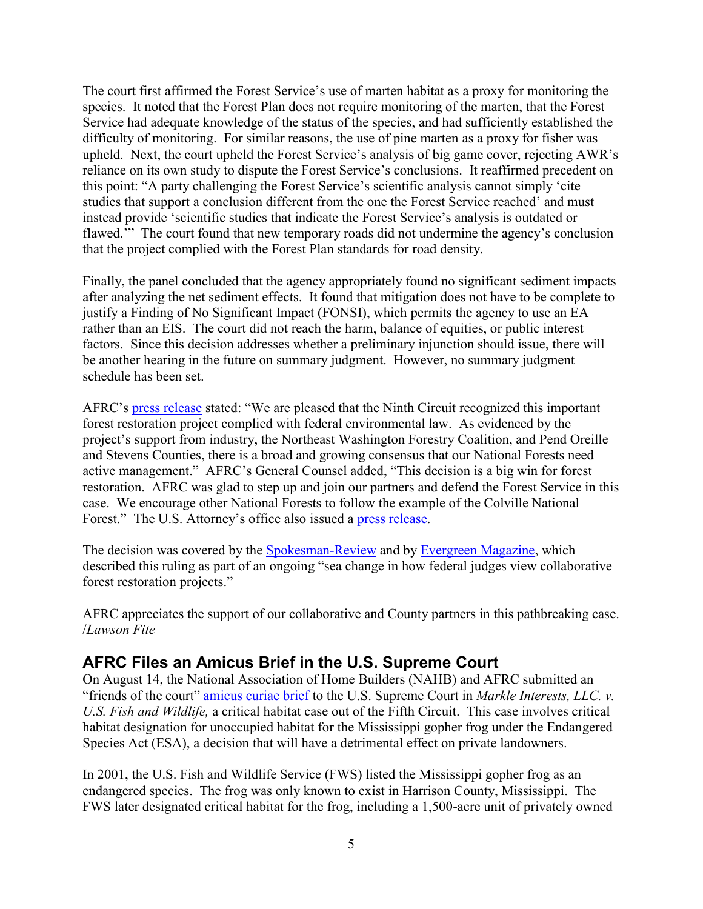The court first affirmed the Forest Service's use of marten habitat as a proxy for monitoring the species. It noted that the Forest Plan does not require monitoring of the marten, that the Forest Service had adequate knowledge of the status of the species, and had sufficiently established the difficulty of monitoring. For similar reasons, the use of pine marten as a proxy for fisher was upheld. Next, the court upheld the Forest Service's analysis of big game cover, rejecting AWR's reliance on its own study to dispute the Forest Service's conclusions. It reaffirmed precedent on this point: "A party challenging the Forest Service's scientific analysis cannot simply 'cite studies that support a conclusion different from the one the Forest Service reached' and must instead provide 'scientific studies that indicate the Forest Service's analysis is outdated or flawed.'" The court found that new temporary roads did not undermine the agency's conclusion that the project complied with the Forest Plan standards for road density.

Finally, the panel concluded that the agency appropriately found no significant sediment impacts after analyzing the net sediment effects. It found that mitigation does not have to be complete to justify a Finding of No Significant Impact (FONSI), which permits the agency to use an EA rather than an EIS. The court did not reach the harm, balance of equities, or public interest factors. Since this decision addresses whether a preliminary injunction should issue, there will be another hearing in the future on summary judgment. However, no summary judgment schedule has been set.

AFRC's [press release](http://amforest.org/major-ne-washington-forest-health-project-can-proceed-after-court-victory/) stated: "We are pleased that the Ninth Circuit recognized this important forest restoration project complied with federal environmental law. As evidenced by the project's support from industry, the Northeast Washington Forestry Coalition, and Pend Oreille and Stevens Counties, there is a broad and growing consensus that our National Forests need active management." AFRC's General Counsel added, "This decision is a big win for forest restoration. AFRC was glad to step up and join our partners and defend the Forest Service in this case. We encourage other National Forests to follow the example of the Colville National Forest." The U.S. Attorney's office also issued a [press release.](https://www.justice.gov/usao-edwa/pr/ninth-circuit-court-appeals-affirms-denial-preliminary-injunction-seeking-stop)

The decision was covered by the [Spokesman-Review](http://www.spokesman.com/stories/2017/aug/08/colvilles-a-to-z-timber-project-can-move-forward-c/) and by [Evergreen Magazine,](https://www.evergreenmagazine.com/a-sea-change-in-how-federal-judges-view-collaborative-forest-restoration-projects/) which described this ruling as part of an ongoing "sea change in how federal judges view collaborative forest restoration projects."

AFRC appreciates the support of our collaborative and County partners in this pathbreaking case. /*Lawson Fite*

#### **AFRC Files an Amicus Brief in the U.S. Supreme Court**

On August 14, the National Association of Home Builders (NAHB) and AFRC submitted an "friends of the court" [amicus curiae brief](http://amforest.org/wp-content/uploads/2017/08/08.14.17_FINAL.pdf) to the U.S. Supreme Court in *Markle Interests, LLC. v. U.S. Fish and Wildlife,* a critical habitat case out of the Fifth Circuit. This case involves critical habitat designation for unoccupied habitat for the Mississippi gopher frog under the Endangered Species Act (ESA), a decision that will have a detrimental effect on private landowners.

In 2001, the U.S. Fish and Wildlife Service (FWS) listed the Mississippi gopher frog as an endangered species. The frog was only known to exist in Harrison County, Mississippi. The FWS later designated critical habitat for the frog, including a 1,500-acre unit of privately owned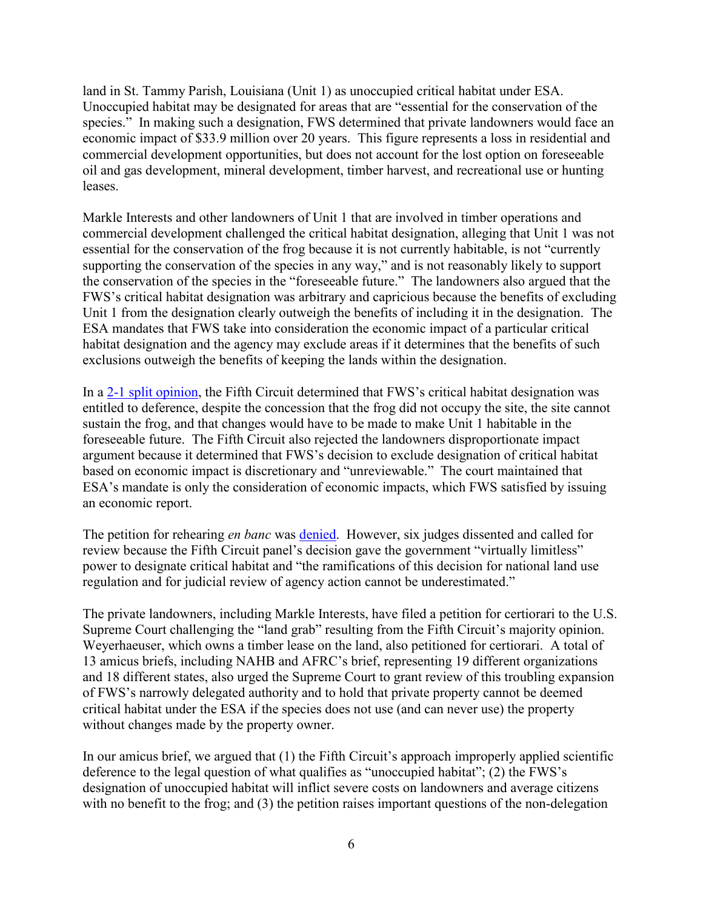land in St. Tammy Parish, Louisiana (Unit 1) as unoccupied critical habitat under ESA. Unoccupied habitat may be designated for areas that are "essential for the conservation of the species." In making such a designation, FWS determined that private landowners would face an economic impact of \$33.9 million over 20 years. This figure represents a loss in residential and commercial development opportunities, but does not account for the lost option on foreseeable oil and gas development, mineral development, timber harvest, and recreational use or hunting leases.

Markle Interests and other landowners of Unit 1 that are involved in timber operations and commercial development challenged the critical habitat designation, alleging that Unit 1 was not essential for the conservation of the frog because it is not currently habitable, is not "currently supporting the conservation of the species in any way," and is not reasonably likely to support the conservation of the species in the "foreseeable future." The landowners also argued that the FWS's critical habitat designation was arbitrary and capricious because the benefits of excluding Unit 1 from the designation clearly outweigh the benefits of including it in the designation. The ESA mandates that FWS take into consideration the economic impact of a particular critical habitat designation and the agency may exclude areas if it determines that the benefits of such exclusions outweigh the benefits of keeping the lands within the designation.

In a [2-1 split opinion](http://amforest.org/wp-content/uploads/2017/08/Markle-Interests-LLC-v-United-States-Fish-and-Wildlife-Service-2-1-split.pdf), the Fifth Circuit determined that FWS's critical habitat designation was entitled to deference, despite the concession that the frog did not occupy the site, the site cannot sustain the frog, and that changes would have to be made to make Unit 1 habitable in the foreseeable future. The Fifth Circuit also rejected the landowners disproportionate impact argument because it determined that FWS's decision to exclude designation of critical habitat based on economic impact is discretionary and "unreviewable." The court maintained that ESA's mandate is only the consideration of economic impacts, which FWS satisfied by issuing an economic report.

The petition for rehearing *en banc* was [denied.](http://amforest.org/wp-content/uploads/2017/08/Markle-Interests-LLC-v-United-States-Fish-and-Wildlife-Service-en-banc.pdf) However, six judges dissented and called for review because the Fifth Circuit panel's decision gave the government "virtually limitless" power to designate critical habitat and "the ramifications of this decision for national land use regulation and for judicial review of agency action cannot be underestimated."

The private landowners, including Markle Interests, have filed a petition for certiorari to the U.S. Supreme Court challenging the "land grab" resulting from the Fifth Circuit's majority opinion. Weyerhaeuser, which owns a timber lease on the land, also petitioned for certiorari. A total of 13 amicus briefs, including NAHB and AFRC's brief, representing 19 different organizations and 18 different states, also urged the Supreme Court to grant review of this troubling expansion of FWS's narrowly delegated authority and to hold that private property cannot be deemed critical habitat under the ESA if the species does not use (and can never use) the property without changes made by the property owner.

In our amicus brief, we argued that (1) the Fifth Circuit's approach improperly applied scientific deference to the legal question of what qualifies as "unoccupied habitat"; (2) the FWS's designation of unoccupied habitat will inflict severe costs on landowners and average citizens with no benefit to the frog; and (3) the petition raises important questions of the non-delegation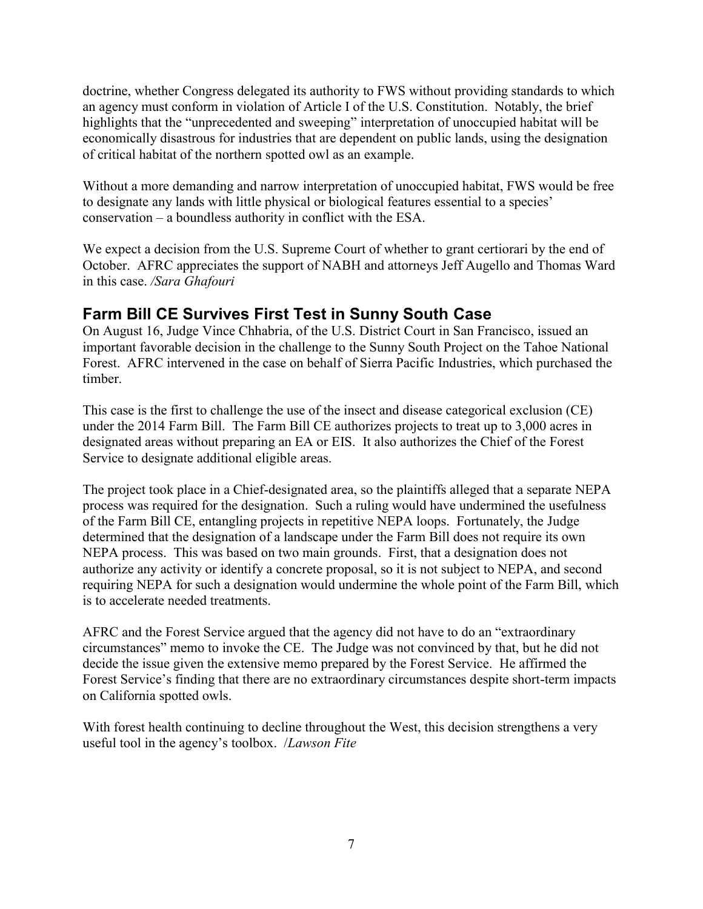doctrine, whether Congress delegated its authority to FWS without providing standards to which an agency must conform in violation of Article I of the U.S. Constitution. Notably, the brief highlights that the "unprecedented and sweeping" interpretation of unoccupied habitat will be economically disastrous for industries that are dependent on public lands, using the designation of critical habitat of the northern spotted owl as an example.

Without a more demanding and narrow interpretation of unoccupied habitat, FWS would be free to designate any lands with little physical or biological features essential to a species' conservation – a boundless authority in conflict with the ESA.

We expect a decision from the U.S. Supreme Court of whether to grant certiorari by the end of October. AFRC appreciates the support of NABH and attorneys Jeff Augello and Thomas Ward in this case. */Sara Ghafouri*

## **Farm Bill CE Survives First Test in Sunny South Case**

On August 16, Judge Vince Chhabria, of the U.S. District Court in San Francisco, issued an important favorable decision in the challenge to the Sunny South Project on the Tahoe National Forest. AFRC intervened in the case on behalf of Sierra Pacific Industries, which purchased the timber.

This case is the first to challenge the use of the insect and disease categorical exclusion (CE) under the 2014 Farm Bill. The Farm Bill CE authorizes projects to treat up to 3,000 acres in designated areas without preparing an EA or EIS. It also authorizes the Chief of the Forest Service to designate additional eligible areas.

The project took place in a Chief-designated area, so the plaintiffs alleged that a separate NEPA process was required for the designation. Such a ruling would have undermined the usefulness of the Farm Bill CE, entangling projects in repetitive NEPA loops. Fortunately, the Judge determined that the designation of a landscape under the Farm Bill does not require its own NEPA process. This was based on two main grounds. First, that a designation does not authorize any activity or identify a concrete proposal, so it is not subject to NEPA, and second requiring NEPA for such a designation would undermine the whole point of the Farm Bill, which is to accelerate needed treatments.

AFRC and the Forest Service argued that the agency did not have to do an "extraordinary circumstances" memo to invoke the CE. The Judge was not convinced by that, but he did not decide the issue given the extensive memo prepared by the Forest Service. He affirmed the Forest Service's finding that there are no extraordinary circumstances despite short-term impacts on California spotted owls.

With forest health continuing to decline throughout the West, this decision strengthens a very useful tool in the agency's toolbox. /*Lawson Fite*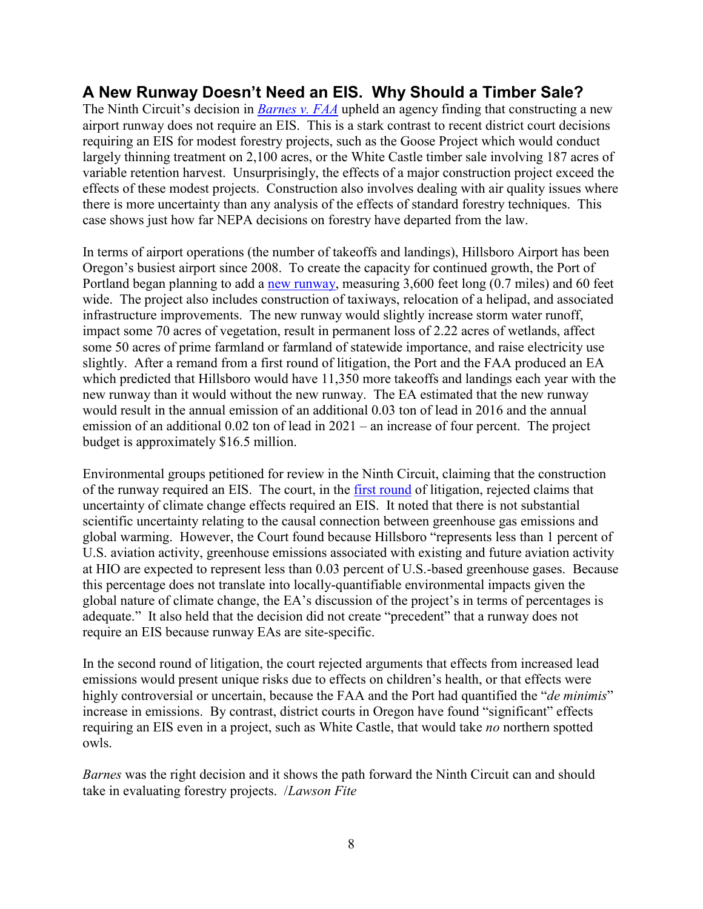## **A New Runway Doesn't Need an EIS. Why Should a Timber Sale?**

The Ninth Circuit's decision in *[Barnes v. FAA](http://cdn.ca9.uscourts.gov/datastore/opinions/2017/08/03/14-71180.pdf)* upheld an agency finding that constructing a new airport runway does not require an EIS. This is a stark contrast to recent district court decisions requiring an EIS for modest forestry projects, such as the Goose Project which would conduct largely thinning treatment on 2,100 acres, or the White Castle timber sale involving 187 acres of variable retention harvest. Unsurprisingly, the effects of a major construction project exceed the effects of these modest projects. Construction also involves dealing with air quality issues where there is more uncertainty than any analysis of the effects of standard forestry techniques. This case shows just how far NEPA decisions on forestry have departed from the law.

In terms of airport operations (the number of takeoffs and landings), Hillsboro Airport has been Oregon's busiest airport since 2008. To create the capacity for continued growth, the Port of Portland began planning to add a [new runway,](http://www.flypdx.com/Airports/Hillsboro/ParallelRunwayProject) measuring 3,600 feet long (0.7 miles) and 60 feet wide. The project also includes construction of taxiways, relocation of a helipad, and associated infrastructure improvements. The new runway would slightly increase storm water runoff, impact some 70 acres of vegetation, result in permanent loss of 2.22 acres of wetlands, affect some 50 acres of prime farmland or farmland of statewide importance, and raise electricity use slightly. After a remand from a first round of litigation, the Port and the FAA produced an EA which predicted that Hillsboro would have 11,350 more takeoffs and landings each year with the new runway than it would without the new runway. The EA estimated that the new runway would result in the annual emission of an additional 0.03 ton of lead in 2016 and the annual emission of an additional 0.02 ton of lead in 2021 – an increase of four percent. The project budget is approximately \$16.5 million.

Environmental groups petitioned for review in the Ninth Circuit, claiming that the construction of the runway required an EIS. The court, in the [first round](http://cdn.ca9.uscourts.gov/datastore/opinions/2011/08/25/10-70718.pdf) of litigation, rejected claims that uncertainty of climate change effects required an EIS. It noted that there is not substantial scientific uncertainty relating to the causal connection between greenhouse gas emissions and global warming. However, the Court found because Hillsboro "represents less than 1 percent of U.S. aviation activity, greenhouse emissions associated with existing and future aviation activity at HIO are expected to represent less than 0.03 percent of U.S.-based greenhouse gases. Because this percentage does not translate into locally-quantifiable environmental impacts given the global nature of climate change, the EA's discussion of the project's in terms of percentages is adequate." It also held that the decision did not create "precedent" that a runway does not require an EIS because runway EAs are site-specific.

In the second round of litigation, the court rejected arguments that effects from increased lead emissions would present unique risks due to effects on children's health, or that effects were highly controversial or uncertain, because the FAA and the Port had quantified the "*de minimis*" increase in emissions. By contrast, district courts in Oregon have found "significant" effects requiring an EIS even in a project, such as White Castle, that would take *no* northern spotted owls.

*Barnes* was the right decision and it shows the path forward the Ninth Circuit can and should take in evaluating forestry projects. /*Lawson Fite*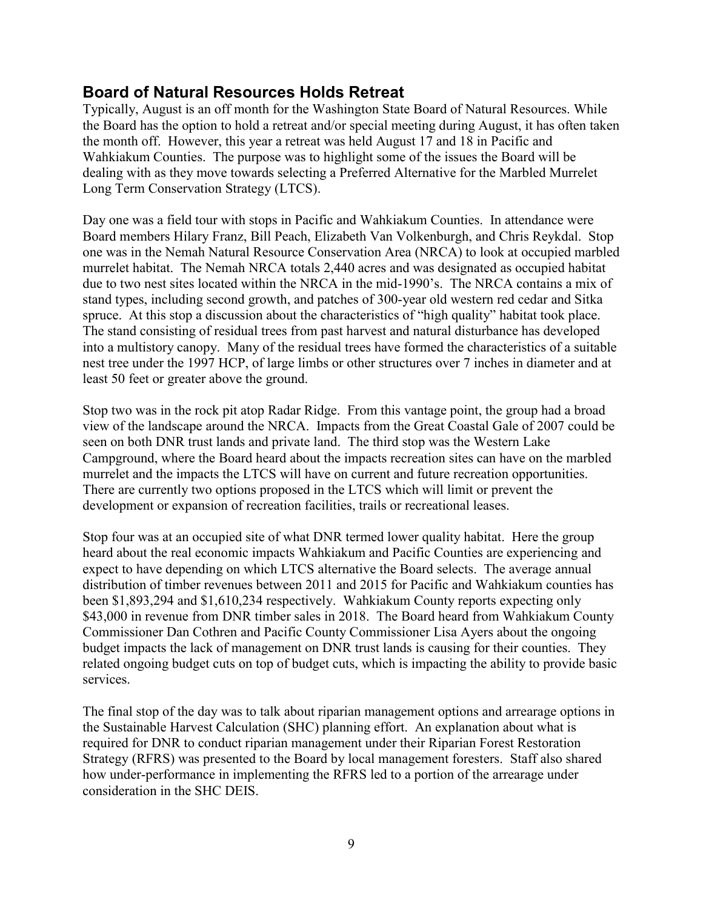#### **Board of Natural Resources Holds Retreat**

Typically, August is an off month for the Washington State Board of Natural Resources. While the Board has the option to hold a retreat and/or special meeting during August, it has often taken the month off. However, this year a retreat was held August 17 and 18 in Pacific and Wahkiakum Counties. The purpose was to highlight some of the issues the Board will be dealing with as they move towards selecting a Preferred Alternative for the Marbled Murrelet Long Term Conservation Strategy (LTCS).

Day one was a field tour with stops in Pacific and Wahkiakum Counties. In attendance were Board members Hilary Franz, Bill Peach, Elizabeth Van Volkenburgh, and Chris Reykdal. Stop one was in the Nemah Natural Resource Conservation Area (NRCA) to look at occupied marbled murrelet habitat. The Nemah NRCA totals 2,440 acres and was designated as occupied habitat due to two nest sites located within the NRCA in the mid-1990's. The NRCA contains a mix of stand types, including second growth, and patches of 300-year old western red cedar and Sitka spruce. At this stop a discussion about the characteristics of "high quality" habitat took place. The stand consisting of residual trees from past harvest and natural disturbance has developed into a multistory canopy. Many of the residual trees have formed the characteristics of a suitable nest tree under the 1997 HCP, of large limbs or other structures over 7 inches in diameter and at least 50 feet or greater above the ground.

Stop two was in the rock pit atop Radar Ridge. From this vantage point, the group had a broad view of the landscape around the NRCA. Impacts from the Great Coastal Gale of 2007 could be seen on both DNR trust lands and private land. The third stop was the Western Lake Campground, where the Board heard about the impacts recreation sites can have on the marbled murrelet and the impacts the LTCS will have on current and future recreation opportunities. There are currently two options proposed in the LTCS which will limit or prevent the development or expansion of recreation facilities, trails or recreational leases.

Stop four was at an occupied site of what DNR termed lower quality habitat. Here the group heard about the real economic impacts Wahkiakum and Pacific Counties are experiencing and expect to have depending on which LTCS alternative the Board selects. The average annual distribution of timber revenues between 2011 and 2015 for Pacific and Wahkiakum counties has been \$1,893,294 and \$1,610,234 respectively. Wahkiakum County reports expecting only \$43,000 in revenue from DNR timber sales in 2018. The Board heard from Wahkiakum County Commissioner Dan Cothren and Pacific County Commissioner Lisa Ayers about the ongoing budget impacts the lack of management on DNR trust lands is causing for their counties. They related ongoing budget cuts on top of budget cuts, which is impacting the ability to provide basic services.

The final stop of the day was to talk about riparian management options and arrearage options in the Sustainable Harvest Calculation (SHC) planning effort. An explanation about what is required for DNR to conduct riparian management under their Riparian Forest Restoration Strategy (RFRS) was presented to the Board by local management foresters. Staff also shared how under-performance in implementing the RFRS led to a portion of the arrearage under consideration in the SHC DEIS.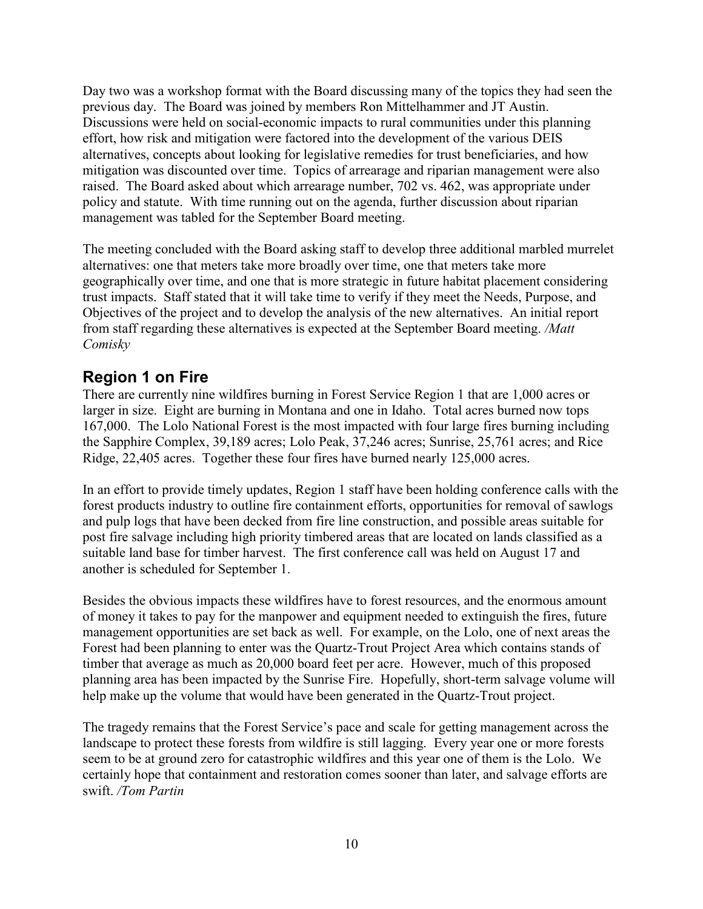Day two was a workshop format with the Board discussing many of the topics they had seen the previous day. The Board was joined by members Ron Mittelhammer and JT Austin. Discussions were held on social-economic impacts to rural communities under this planning effort, how risk and mitigation were factored into the development of the various DEIS alternatives, concepts about looking for legislative remedies for trust beneficiaries, and how mitigation was discounted over time. Topics of arrearage and riparian management were also raised. The Board asked about which arrearage number, 702 vs. 462, was appropriate under policy and statute. With time running out on the agenda, further discussion about riparian management was tabled for the September Board meeting.

The meeting concluded with the Board asking staff to develop three additional marbled murrelet alternatives: one that meters take more broadly over time, one that meters take more geographically over time, and one that is more strategic in future habitat placement considering trust impacts. Staff stated that it will take time to verify if they meet the Needs, Purpose, and Objectives of the project and to develop the analysis of the new alternatives. An initial report from staff regarding these alternatives is expected at the September Board meeting. */Matt Comisky*

#### **Region 1 on Fire**

There are currently nine wildfires burning in Forest Service Region 1 that are 1,000 acres or larger in size. Eight are burning in Montana and one in Idaho. Total acres burned now tops 167,000. The Lolo National Forest is the most impacted with four large fires burning including the Sapphire Complex, 39,189 acres; Lolo Peak, 37,246 acres; Sunrise, 25,761 acres; and Rice Ridge, 22,405 acres. Together these four fires have burned nearly 125,000 acres.

In an effort to provide timely updates, Region 1 staff have been holding conference calls with the forest products industry to outline fire containment efforts, opportunities for removal of sawlogs and pulp logs that have been decked from fire line construction, and possible areas suitable for post fire salvage including high priority timbered areas that are located on lands classified as a suitable land base for timber harvest. The first conference call was held on August 17 and another is scheduled for September 1.

Besides the obvious impacts these wildfires have to forest resources, and the enormous amount of money it takes to pay for the manpower and equipment needed to extinguish the fires, future management opportunities are set back as well. For example, on the Lolo, one of next areas the Forest had been planning to enter was the Quartz-Trout Project Area which contains stands of timber that average as much as 20,000 board feet per acre. However, much of this proposed planning area has been impacted by the Sunrise Fire. Hopefully, short-term salvage volume will help make up the volume that would have been generated in the Quartz-Trout project.

The tragedy remains that the Forest Service's pace and scale for getting management across the landscape to protect these forests from wildfire is still lagging. Every year one or more forests seem to be at ground zero for catastrophic wildfires and this year one of them is the Lolo. We certainly hope that containment and restoration comes sooner than later, and salvage efforts are swift. */Tom Partin*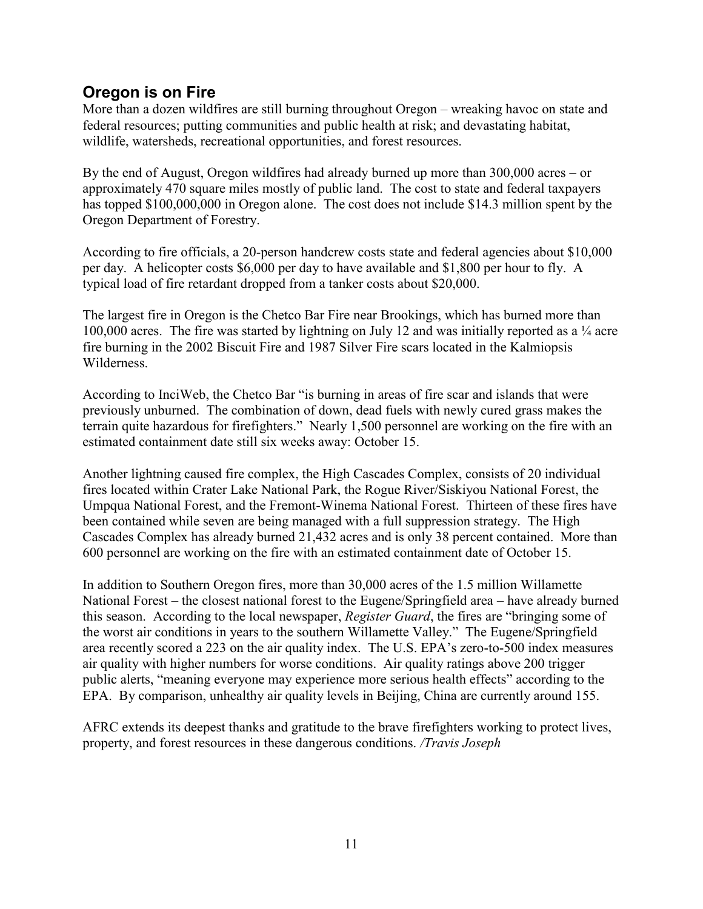#### **Oregon is on Fire**

More than a dozen wildfires are still burning throughout Oregon – wreaking havoc on state and federal resources; putting communities and public health at risk; and devastating habitat, wildlife, watersheds, recreational opportunities, and forest resources.

By the end of August, Oregon wildfires had already burned up more than 300,000 acres – or approximately 470 square miles mostly of public land. The cost to state and federal taxpayers has topped \$100,000,000 in Oregon alone. The cost does not include \$14.3 million spent by the Oregon Department of Forestry.

According to fire officials, a 20-person handcrew costs state and federal agencies about \$10,000 per day. A helicopter costs \$6,000 per day to have available and \$1,800 per hour to fly. A typical load of fire retardant dropped from a tanker costs about \$20,000.

The largest fire in Oregon is the Chetco Bar Fire near Brookings, which has burned more than 100,000 acres. The fire was started by lightning on July 12 and was initially reported as a  $\frac{1}{4}$  acre fire burning in the 2002 Biscuit Fire and 1987 Silver Fire scars located in the Kalmiopsis Wilderness.

According to InciWeb, the Chetco Bar "is burning in areas of fire scar and islands that were previously unburned. The combination of down, dead fuels with newly cured grass makes the terrain quite hazardous for firefighters." Nearly 1,500 personnel are working on the fire with an estimated containment date still six weeks away: October 15.

Another lightning caused fire complex, the High Cascades Complex, consists of 20 individual fires located within Crater Lake National Park, the Rogue River/Siskiyou National Forest, the Umpqua National Forest, and the Fremont-Winema National Forest. Thirteen of these fires have been contained while seven are being managed with a full suppression strategy. The High Cascades Complex has already burned 21,432 acres and is only 38 percent contained. More than 600 personnel are working on the fire with an estimated containment date of October 15.

In addition to Southern Oregon fires, more than 30,000 acres of the 1.5 million Willamette National Forest – the closest national forest to the Eugene/Springfield area – have already burned this season. According to the local newspaper, *Register Guard*, the fires are "bringing some of the worst air conditions in years to the southern Willamette Valley." The Eugene/Springfield area recently scored a 223 on the air quality index. The U.S. EPA's zero-to-500 index measures air quality with higher numbers for worse conditions. Air quality ratings above 200 trigger public alerts, "meaning everyone may experience more serious health effects" according to the EPA. By comparison, unhealthy air quality levels in Beijing, China are currently around 155.

AFRC extends its deepest thanks and gratitude to the brave firefighters working to protect lives, property, and forest resources in these dangerous conditions. */Travis Joseph*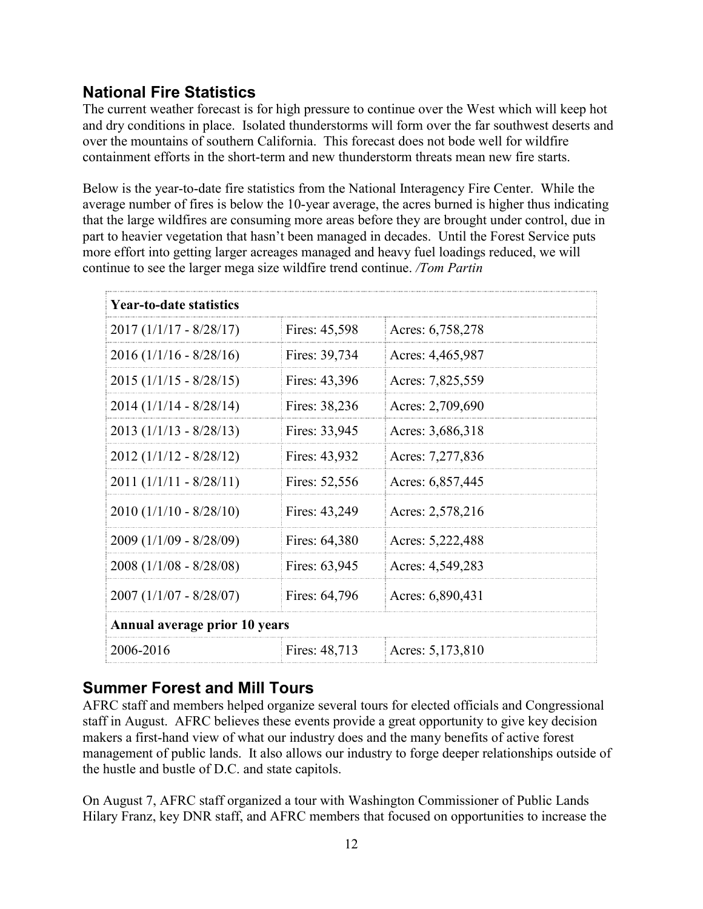## **National Fire Statistics**

The current weather forecast is for high pressure to continue over the West which will keep hot and dry conditions in place. Isolated thunderstorms will form over the far southwest deserts and over the mountains of southern California. This forecast does not bode well for wildfire containment efforts in the short-term and new thunderstorm threats mean new fire starts.

Below is the year-to-date fire statistics from the National Interagency Fire Center. While the average number of fires is below the 10-year average, the acres burned is higher thus indicating that the large wildfires are consuming more areas before they are brought under control, due in part to heavier vegetation that hasn't been managed in decades. Until the Forest Service puts more effort into getting larger acreages managed and heavy fuel loadings reduced, we will continue to see the larger mega size wildfire trend continue. */Tom Partin* 

| <b>Year-to-date statistics</b> |               |                  |
|--------------------------------|---------------|------------------|
| $2017(1/1/17 - 8/28/17)$       | Fires: 45,598 | Acres: 6,758,278 |
| $2016 (1/1/16 - 8/28/16)$      | Fires: 39,734 | Acres: 4,465,987 |
| $2015 (1/1/15 - 8/28/15)$      | Fires: 43,396 | Acres: 7,825,559 |
| $2014(1/1/14 - 8/28/14)$       | Fires: 38,236 | Acres: 2,709,690 |
| $2013 (1/1/13 - 8/28/13)$      | Fires: 33,945 | Acres: 3,686,318 |
| $2012 (1/1/12 - 8/28/12)$      | Fires: 43,932 | Acres: 7,277,836 |
| $2011 (1/1/11 - 8/28/11)$      | Fires: 52,556 | Acres: 6,857,445 |
| $2010 (1/1/10 - 8/28/10)$      | Fires: 43,249 | Acres: 2,578,216 |
| $2009(1/1/09 - 8/28/09)$       | Fires: 64,380 | Acres: 5,222,488 |
| $2008(1/1/08 - 8/28/08)$       | Fires: 63,945 | Acres: 4,549,283 |
| $2007 (1/1/07 - 8/28/07)$      | Fires: 64,796 | Acres: 6,890,431 |
| Annual average prior 10 years  |               |                  |
| 2006-2016                      | Fires: 48,713 | Acres: 5,173,810 |

#### **Summer Forest and Mill Tours**

AFRC staff and members helped organize several tours for elected officials and Congressional staff in August. AFRC believes these events provide a great opportunity to give key decision makers a first-hand view of what our industry does and the many benefits of active forest management of public lands. It also allows our industry to forge deeper relationships outside of the hustle and bustle of D.C. and state capitols.

On August 7, AFRC staff organized a tour with Washington Commissioner of Public Lands Hilary Franz, key DNR staff, and AFRC members that focused on opportunities to increase the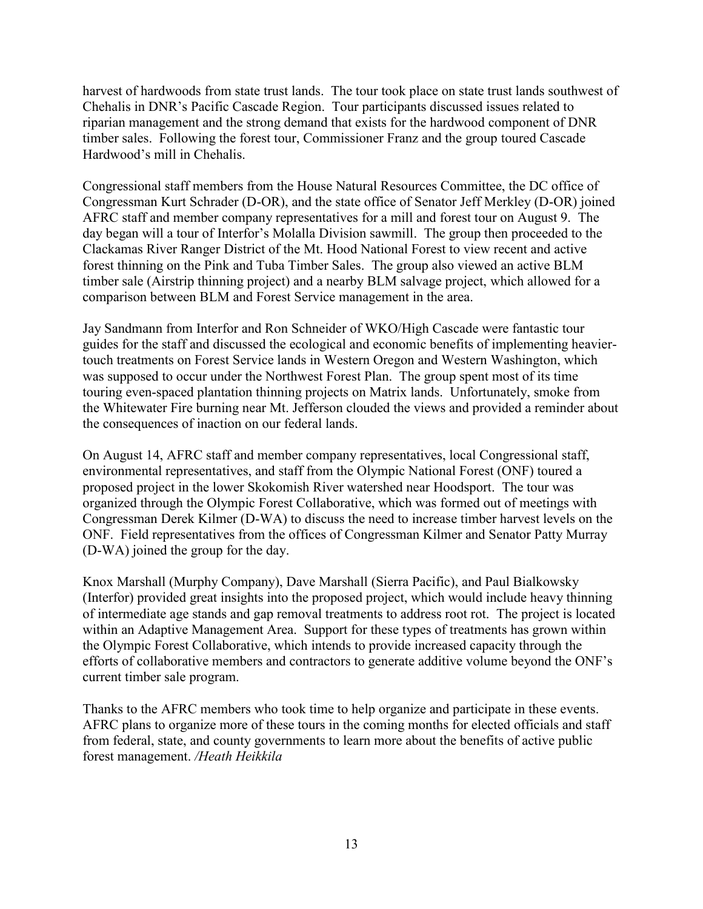harvest of hardwoods from state trust lands. The tour took place on state trust lands southwest of Chehalis in DNR's Pacific Cascade Region. Tour participants discussed issues related to riparian management and the strong demand that exists for the hardwood component of DNR timber sales. Following the forest tour, Commissioner Franz and the group toured Cascade Hardwood's mill in Chehalis.

Congressional staff members from the House Natural Resources Committee, the DC office of Congressman Kurt Schrader (D-OR), and the state office of Senator Jeff Merkley (D-OR) joined AFRC staff and member company representatives for a mill and forest tour on August 9. The day began will a tour of Interfor's Molalla Division sawmill. The group then proceeded to the Clackamas River Ranger District of the Mt. Hood National Forest to view recent and active forest thinning on the Pink and Tuba Timber Sales. The group also viewed an active BLM timber sale (Airstrip thinning project) and a nearby BLM salvage project, which allowed for a comparison between BLM and Forest Service management in the area.

Jay Sandmann from Interfor and Ron Schneider of WKO/High Cascade were fantastic tour guides for the staff and discussed the ecological and economic benefits of implementing heaviertouch treatments on Forest Service lands in Western Oregon and Western Washington, which was supposed to occur under the Northwest Forest Plan. The group spent most of its time touring even-spaced plantation thinning projects on Matrix lands. Unfortunately, smoke from the Whitewater Fire burning near Mt. Jefferson clouded the views and provided a reminder about the consequences of inaction on our federal lands.

On August 14, AFRC staff and member company representatives, local Congressional staff, environmental representatives, and staff from the Olympic National Forest (ONF) toured a proposed project in the lower Skokomish River watershed near Hoodsport. The tour was organized through the Olympic Forest Collaborative, which was formed out of meetings with Congressman Derek Kilmer (D-WA) to discuss the need to increase timber harvest levels on the ONF. Field representatives from the offices of Congressman Kilmer and Senator Patty Murray (D-WA) joined the group for the day.

Knox Marshall (Murphy Company), Dave Marshall (Sierra Pacific), and Paul Bialkowsky (Interfor) provided great insights into the proposed project, which would include heavy thinning of intermediate age stands and gap removal treatments to address root rot. The project is located within an Adaptive Management Area. Support for these types of treatments has grown within the Olympic Forest Collaborative, which intends to provide increased capacity through the efforts of collaborative members and contractors to generate additive volume beyond the ONF's current timber sale program.

Thanks to the AFRC members who took time to help organize and participate in these events. AFRC plans to organize more of these tours in the coming months for elected officials and staff from federal, state, and county governments to learn more about the benefits of active public forest management. */Heath Heikkila*